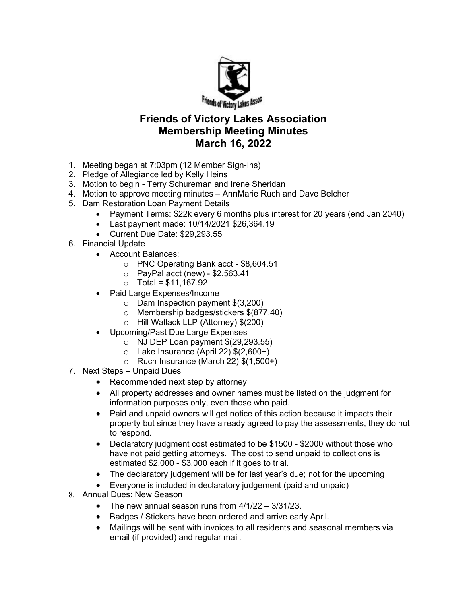

## Friends of Victory Lakes Association Membership Meeting Minutes March 16, 2022

- 1. Meeting began at 7:03pm (12 Member Sign-Ins)
- 2. Pledge of Allegiance led by Kelly Heins
- 3. Motion to begin Terry Schureman and Irene Sheridan
- 4. Motion to approve meeting minutes AnnMarie Ruch and Dave Belcher
- 5. Dam Restoration Loan Payment Details
	- Payment Terms: \$22k every 6 months plus interest for 20 years (end Jan 2040)
	- Last payment made: 10/14/2021 \$26,364.19
	- Current Due Date: \$29,293.55
- 6. Financial Update
	- Account Balances:
		- o PNC Operating Bank acct \$8,604.51
		- $\circ$  PayPal acct (new) \$2,563.41
		- $\circ$  Total = \$11,167.92
	- Paid Large Expenses/Income
		- o Dam Inspection payment \$(3,200)
		- o Membership badges/stickers \$(877.40)
		- o Hill Wallack LLP (Attorney) \$(200)
	- Upcoming/Past Due Large Expenses
		- $\circ$  NJ DEP Loan payment  $$(29,293.55)$
		- $\circ$  Lake Insurance (April 22)  $$(2,600+)$
		- $\circ$  Ruch Insurance (March 22)  $$(1,500+)$
- 7. Next Steps Unpaid Dues
	- Recommended next step by attorney
	- All property addresses and owner names must be listed on the judgment for information purposes only, even those who paid.
	- Paid and unpaid owners will get notice of this action because it impacts their property but since they have already agreed to pay the assessments, they do not to respond.
	- Declaratory judgment cost estimated to be \$1500 \$2000 without those who have not paid getting attorneys. The cost to send unpaid to collections is estimated \$2,000 - \$3,000 each if it goes to trial.
	- The declaratory judgement will be for last year's due; not for the upcoming
	- Everyone is included in declaratory judgement (paid and unpaid)
- 8. Annual Dues: New Season
	- The new annual season runs from  $4/1/22 3/31/23$ .
	- Badges / Stickers have been ordered and arrive early April.
	- Mailings will be sent with invoices to all residents and seasonal members via email (if provided) and regular mail.